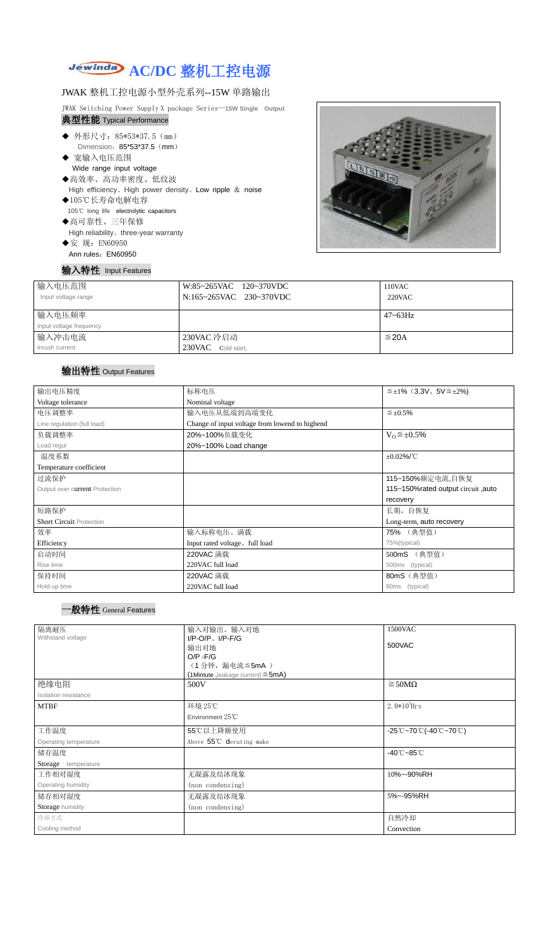# **AC/DC** 整机工控电源

#### JWAK 整机工控电源小型外壳系列--15W 单路输出

JWAK Switching Power Supply X package Series--**15W Single Output** 典型性能 Typical Performance

- ◆ 外形尺寸: 85\*53\*37.5 (mm) Dimension: 85\*53\*37.5 (mm)
- ◆ 宽输入电压范围 Wide range input voltage
- ◆高效率、高功率密度、低纹波 High efficiency、High power density、Low ripple & noise
- ◆105℃长寿命电解电容 105℃ long life electrolytic capacitors
- ◆高可靠性、三年保修 High reliability、three-year warranty ◆安 规: EN60950
- Ann rules: EN60950

### 输入特性 Input Features



| 输入电压范围<br>Input voltage range | W:85~265VAC 120~370VDC<br>N:165~265VAC 230~370VDC | 110VAC<br>220VAC |
|-------------------------------|---------------------------------------------------|------------------|
| 输入电压频率                        |                                                   | $47 - 63$ Hz     |
| Input voltage frequency       |                                                   |                  |
| 输入冲击电流                        | 230VAC 冷启动                                        | $\leq$ 20A       |
| Inrush current                | 230VAC Cold start,                                |                  |

## 输出特性 Output Features

#### 一般特性 General Features

| 输出电压精度                          | 标称电压                                           | $\leq \pm 1\%$ (3.3V, 5V $\leq \pm 2\%$ ) |  |  |
|---------------------------------|------------------------------------------------|-------------------------------------------|--|--|
| Voltage tolerance               | Nominal voltage                                |                                           |  |  |
| 电压调整率                           | 输入电压从低端到高端变化                                   | $\leq \pm 0.5\%$                          |  |  |
| Line regulation (full load)     | Change of input voltage from lowend to highend |                                           |  |  |
| 负载调整率                           | 20%~100%负载变化<br>$V_0 \leq \pm 0.5\%$           |                                           |  |  |
| Load regul                      | 20%~100% Load change                           |                                           |  |  |
| 温度系数                            | $±0.02\%$ /°C                                  |                                           |  |  |
| Temperature coefficient         |                                                |                                           |  |  |
| 过流保护                            | 115~150%额定电流,自恢复                               |                                           |  |  |
| Output over current Protection  | 115~150% rated output circuit, auto            |                                           |  |  |
|                                 |                                                | recovery                                  |  |  |
| 短路保护                            | 长期, 自恢复                                        |                                           |  |  |
| <b>Short Circuit Protection</b> |                                                | Long-term, auto recovery                  |  |  |
| 效率                              | 输入标称电压、满载                                      | 75% (典型值)                                 |  |  |
| Efficiency                      | Input rated voltage, full load                 | 75%(typical)                              |  |  |
| 启动时间                            | 220VAC 满载                                      | 500mS (典型值)                               |  |  |
| Rise time                       | 220VAC full load                               | 500ms (typical)                           |  |  |
| 保持时间                            | 220VAC 满载                                      | 80mS (典型值)                                |  |  |
| Hold up time                    | 220VAC full load                               | 80ms (typical)                            |  |  |

| 隔离耐压                  | 1500VAC<br>输入对输出、输入对地                   |                                                                                               |  |
|-----------------------|-----------------------------------------|-----------------------------------------------------------------------------------------------|--|
| Withstand voltage     | $I/P-O/P$ , $I/P-F/G$                   | 500VAC                                                                                        |  |
|                       | 输出对地                                    |                                                                                               |  |
|                       | $O/P - F/G$<br>(1分钟,漏电流 ≦ 5mA)          |                                                                                               |  |
|                       | (1Mintute, leakage current) $\leq$ 5mA) |                                                                                               |  |
| 绝缘电阻                  | 500V                                    | $\geq$ 50M $\Omega$                                                                           |  |
| Isolation resistance  |                                         |                                                                                               |  |
| <b>MTBF</b>           | 环境 25℃                                  | 2.0 $*10^5$ Hrs                                                                               |  |
|                       | Environment $25^{\circ}$ C              |                                                                                               |  |
| 工作温度                  | 55℃以上降额使用                               | $-25^{\circ}\text{C}$ ~70 $^{\circ}\text{C}$ (-40 $^{\circ}\text{C}$ ~70 $^{\circ}\text{C}$ ) |  |
| Operating temperature | Above 55°C derating make                |                                                                                               |  |
| 储存温度                  |                                         | $-40^{\circ}$ C $-85^{\circ}$ C                                                               |  |
| Storage temperature   |                                         |                                                                                               |  |
| 工作相对湿度                | 无凝露及结冰现象                                | 10%~-90%RH                                                                                    |  |
| Operating humidity    | (non condensing)                        |                                                                                               |  |
| 储存相对湿度                | 无凝露及结冰现象                                | 5%~-95%RH                                                                                     |  |
| Storage humidity      | (non condensing)                        |                                                                                               |  |
| 冷却方式                  |                                         | 自然冷却                                                                                          |  |
| Cooling method        |                                         | Convection                                                                                    |  |